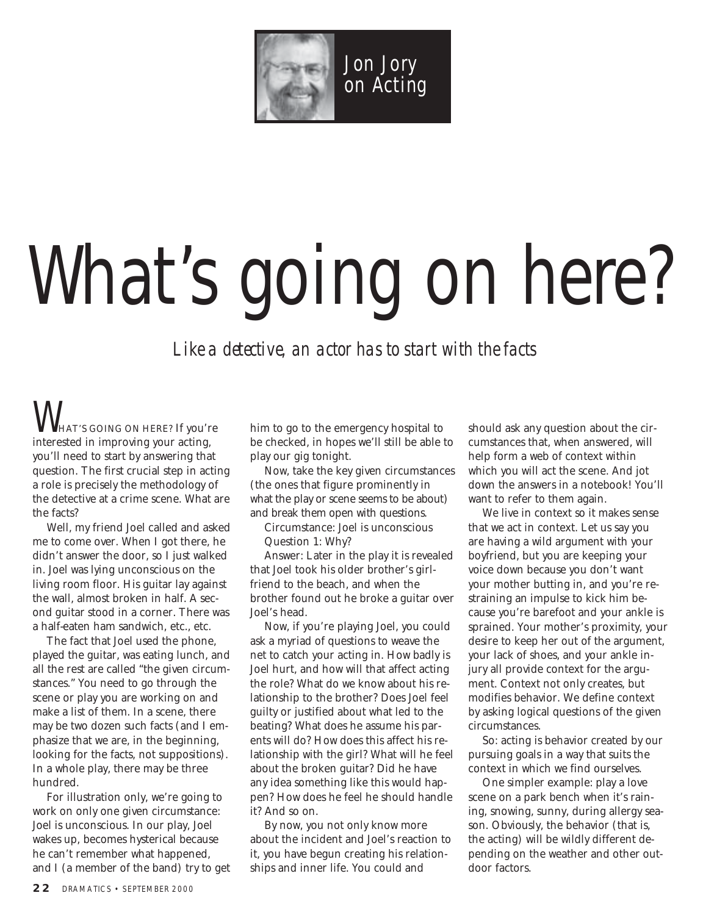

## What's going on here?

*Like a detective, an actor has to start with the facts*

 $V$ hat's going on here? If you're interested in improving your acting, you'll need to start by answering that question. The first crucial step in acting a role is precisely the methodology of the detective at a crime scene. What are the facts?

Well, my friend Joel called and asked me to come over. When I got there, he didn't answer the door, so I just walked in. Joel was lying unconscious on the living room floor. His guitar lay against the wall, almost broken in half. A second guitar stood in a corner. There was a half-eaten ham sandwich, etc., etc.

The fact that Joel used the phone, played the guitar, was eating lunch, and all the rest are called "the given circumstances." You need to go through the scene or play you are working on and make a list of them. In a scene, there may be two dozen such facts (and I emphasize that we are, in the beginning, looking for the facts, not suppositions). In a whole play, there may be three hundred.

For illustration only, we're going to work on only one given circumstance: Joel is unconscious. In our play, Joel wakes up, becomes hysterical because he can't remember what happened, and I (a member of the band) try to get him to go to the emergency hospital to be checked, in hopes we'll still be able to play our gig tonight.

Now, take the key given circumstances (the ones that figure prominently in what the play or scene seems to be about) and break them open with questions.

Circumstance: Joel is unconscious Question 1: Why?

Answer: Later in the play it is revealed that Joel took his older brother's girlfriend to the beach, and when the brother found out he broke a guitar over Joel's head.

Now, if you're playing Joel, you could ask a myriad of questions to weave the net to catch your acting in. How badly is Joel hurt, and how will that affect acting the role? What do we know about his relationship to the brother? Does Joel feel guilty or justified about what led to the beating? What does he assume his parents will do? How does this affect his relationship with the girl? What will he feel about the broken guitar? Did he have any idea something like this would happen? How does he feel he should handle it? And so on.

By now, you not only know more about the incident and Joel's reaction to it, you have begun creating his relationships and inner life. You could and

should ask any question about the circumstances that, when answered, will help form a web of context within which you will act the scene. And jot down the answers in a notebook! You'll want to refer to them again.

We live in context so it makes sense that we act in context. Let us say you are having a wild argument with your boyfriend, but you are keeping your voice down because you don't want your mother butting in, and you're restraining an impulse to kick him because you're barefoot and your ankle is sprained. Your mother's proximity, your desire to keep her out of the argument, your lack of shoes, and your ankle injury all provide context for the argument. Context not only creates, but modifies behavior. We define context by asking logical questions of the given circumstances.

So: acting is behavior created by our pursuing goals in a way that suits the context in which we find ourselves.

One simpler example: play a love scene on a park bench when it's raining, snowing, sunny, during allergy season. Obviously, the behavior (that is, the acting) will be wildly different depending on the weather and other outdoor factors.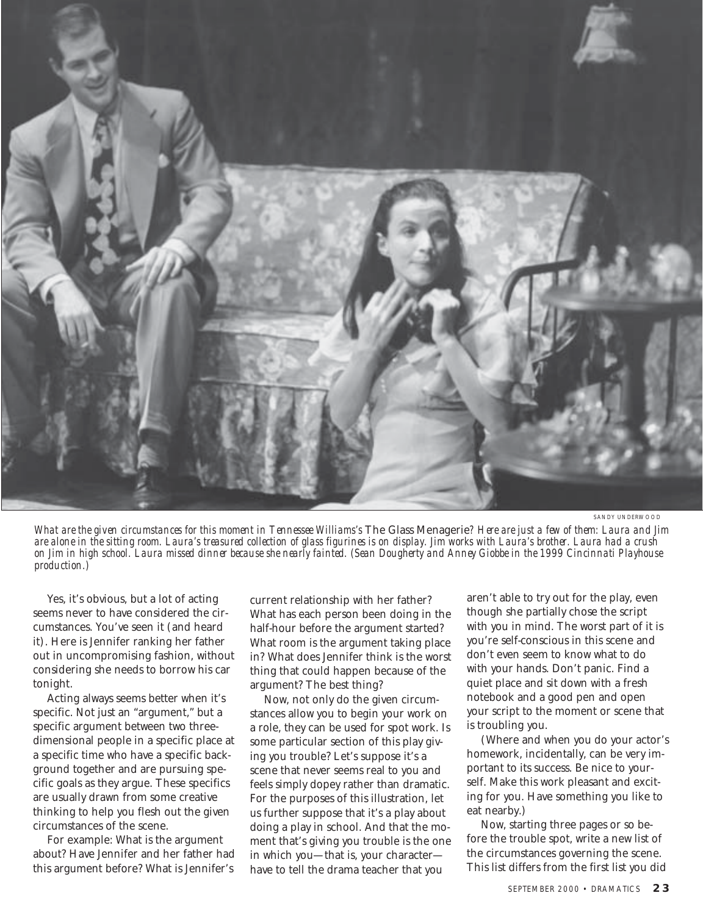

SANDY UNDERWOOD

*What are the given circumstances for this moment in Tennessee Williams's* The Glass Menagerie*? Here are just a few of them: Laura and Jim are alone in the sitting room. Laura's treasured collection of glass figurines is on display. Jim works with Laura's brother. Laura had a crush on Jim in high school. Laura missed dinner because she nearly fainted. (Sean Dougherty and Anney Giobbe in the 1999 Cincinnati Playhouse production.)*

Yes, it's obvious, but a lot of acting seems never to have considered the circumstances. You've seen it (and heard it). Here is Jennifer ranking her father out in uncompromising fashion, without considering she needs to borrow his car tonight.

Acting always seems better when it's specific. Not just an "argument," but a specific argument between two threedimensional people in a specific place at a specific time who have a specific background together and are pursuing specific goals as they argue. These specifics are usually drawn from some creative thinking to help you flesh out the given circumstances of the scene.

For example: What is the argument about? Have Jennifer and her father had this argument before? What is Jennifer's

current relationship with her father? What has each person been doing in the half-hour before the argument started? What room is the argument taking place in? What does Jennifer think is the worst thing that could happen because of the argument? The best thing?

Now, not only do the given circumstances allow you to begin your work on a role, they can be used for spot work. Is some particular section of this play giving you trouble? Let's suppose it's a scene that never seems real to you and feels simply dopey rather than dramatic. For the purposes of this illustration, let us further suppose that it's a play about doing a play in school. And that the moment that's giving you trouble is the one in which you—that is, your character have to tell the drama teacher that you

aren't able to try out for the play, even though she partially chose the script with you in mind. The worst part of it is you're self-conscious in this scene and don't even seem to know what to do with your hands. Don't panic. Find a quiet place and sit down with a fresh notebook and a good pen and open your script to the moment or scene that is troubling you.

(Where and when you do your actor's homework, incidentally, can be very important to its success. Be nice to yourself. Make this work pleasant and exciting for you. Have something you like to eat nearby.)

Now, starting three pages or so before the trouble spot, write a new list of the circumstances governing the scene. This list differs from the first list you did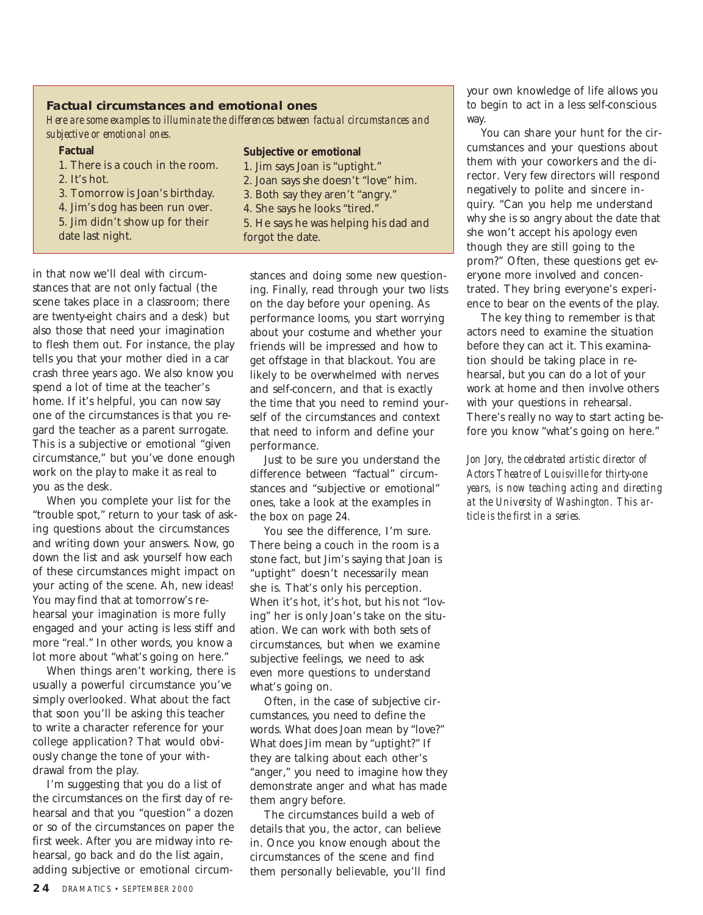## **Factual circumstances and emotional ones**

*Here are some examples to illuminate the differences between factual circumstances and subjective or emotional ones.*

## **Factual**

- 1. There is a couch in the room. 2. It's hot.
- 3. Tomorrow is Joan's birthday.
- 
- 4. Jim's dog has been run over.
- 5. Jim didn't show up for their
- date last night.

## **Subjective or emotional**

- 1. Jim says Joan is "uptight." 2. Joan says she doesn't "love" him.
- 3. Both say they aren't "angry."
- 4. She says he looks "tired."
- 5. He says he was helping his dad and forgot the date.

in that now we'll deal with circumstances that are not only factual (the scene takes place in a classroom; there are twenty-eight chairs and a desk) but also those that need your imagination to flesh them out. For instance, the play tells you that your mother died in a car crash three years ago. We also know you spend a lot of time at the teacher's home. If it's helpful, you can now say one of the circumstances is that you regard the teacher as a parent surrogate. This is a subjective or emotional "given circumstance," but you've done enough work on the play to make it as real to you as the desk.

When you complete your list for the "trouble spot," return to your task of asking questions about the circumstances and writing down your answers. Now, go down the list and ask yourself how each of these circumstances might impact on your acting of the scene. Ah, new ideas! You may find that at tomorrow's rehearsal your imagination is more fully engaged and your acting is less stiff and more "real." In other words, you know a lot more about "what's going on here."

When things aren't working, there is usually a powerful circumstance you've simply overlooked. What about the fact that soon you'll be asking this teacher to write a character reference for your college application? That would obviously change the tone of your withdrawal from the play.

I'm suggesting that you do a list of the circumstances on the first day of rehearsal and that you "question" a dozen or so of the circumstances on paper the first week. After you are midway into rehearsal, go back and do the list again, adding subjective or emotional circumstances and doing some new questioning. Finally, read through your two lists on the day before your opening. As performance looms, you start worrying about your costume and whether your friends will be impressed and how to get offstage in that blackout. You are likely to be overwhelmed with nerves and self-concern, and that is exactly the time that you need to remind yourself of the circumstances and context that need to inform and define your performance.

Just to be sure you understand the difference between "factual" circumstances and "subjective or emotional" ones, take a look at the examples in the box on page 24.

You see the difference, I'm sure. There being a couch in the room is a stone fact, but Jim's saying that Joan is "uptight" doesn't necessarily mean she is. That's only his perception. When it's hot, it's hot, but his not "loving" her is only Joan's take on the situation. We can work with both sets of circumstances, but when we examine subjective feelings, we need to ask even more questions to understand what's going on.

Often, in the case of subjective circumstances, you need to define the words. What does Joan mean by "love?" What does Jim mean by "uptight?" If they are talking about each other's "anger," you need to imagine how they demonstrate anger and what has made them angry before.

The circumstances build a web of details that you, the actor, can believe in. Once you know enough about the circumstances of the scene and find them personally believable, you'll find your own knowledge of life allows you to begin to act in a less self-conscious way.

You can share your hunt for the circumstances and your questions about them with your coworkers and the director. Very few directors will respond negatively to polite and sincere inquiry. "Can you help me understand why she is so angry about the date that she won't accept his apology even though they are still going to the prom?" Often, these questions get everyone more involved and concentrated. They bring everyone's experience to bear on the events of the play.

The key thing to remember is that actors need to examine the situation before they can act it. This examination should be taking place in rehearsal, but you can do a lot of your work at home and then involve others with your questions in rehearsal. There's really no way to start acting before you know "what's going on here."

*Jon Jory, the celebrated artistic director of Actors Theatre of Louisville for thirty-one years, is now teaching acting and directing at the University of Washington. This article is the first in a series.*